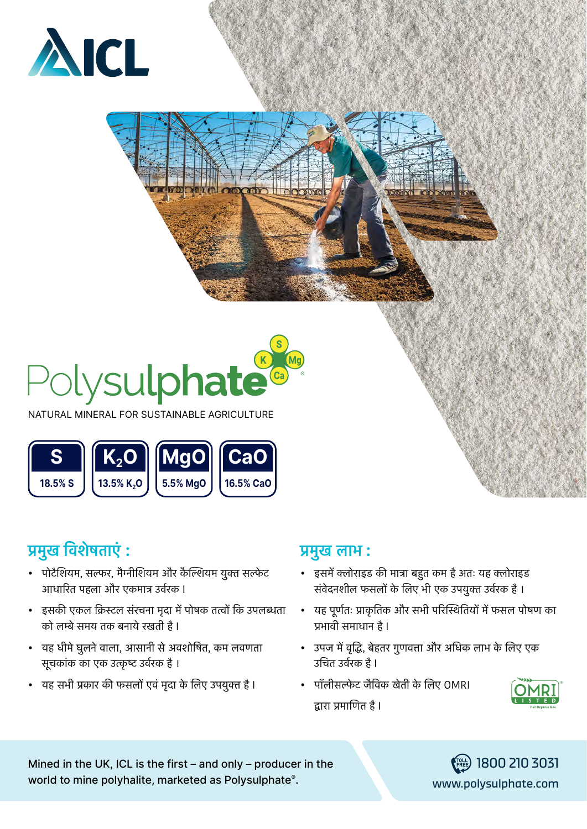



NATURAL MINERAL FOR SUSTAINABLE AGRICULTURE



## **प्रमुख विशेषताएं :**

- पोटैशियम, सल्फर, मैग्नीशियम और कैल्शियम युक्त सल्फेट आधारित पहला और एकमात्र उर्वरक I
- इसकी एकल क्रिस्टल संरचना मृदा में पोषक तत्वों कि उपलब्धता को लम्बे समय तक बनाये रखती है I
- यह धीमे घुलने वाला, आसानी से अवशोषित, कम लवणता सूचकांक का एक उत्कृष्ट उर्वरक है ।
- यह सभी प्रकार की फसलों एवं मृदा के लिए उपयुक्त है I

### **प्रमुख लाभ :**

- इसमें क्लोराइड की मात्रा बहुत कम है अतः यह क्लोराइड संवेदनशील फसलों के लिए भी एक उपयुक्त उर्वरक है ।
- यह पूर्णतः प्राकृतिक और सभी परिस्थितियों में फसल पोषण का प्रभावी समाधान है I
- उपज में वृद्धि, बेहतर गुणवत्ता और अधिक लाभ के लिए एक उचित उर्वरक है I
- पॉलीसल्फेट जैविक खेती के लिए OMRI द्वारा प्रमाणित है I



Mined in the UK, ICL is the first – and only – producer in the  $\binom{1800}{1800}$  210 3031 world to mine polyhalite, marketed as Polysulphate®.

[www.polysulphate.com](http://www.polysulphate.com)